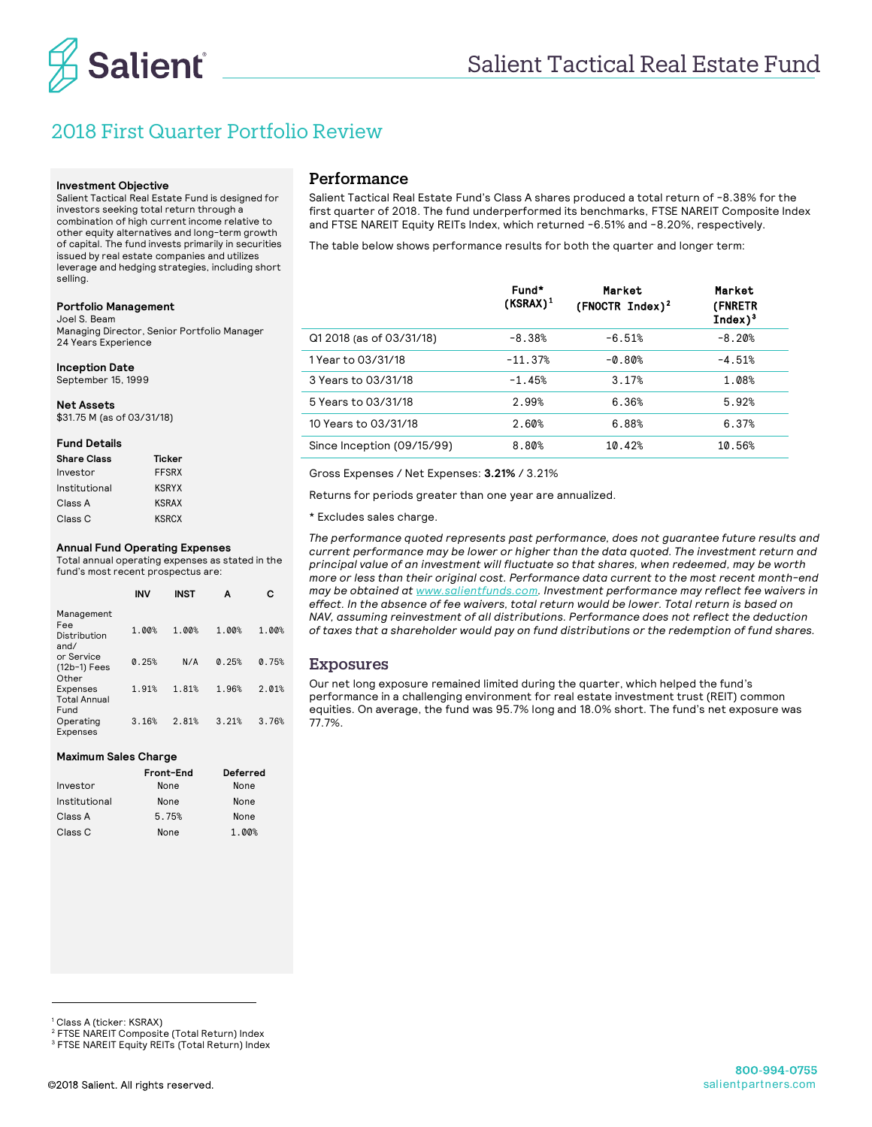

# 2018 First Quarter Portfolio Review

#### **Investment Objective**

Salient Tactical Real Estate Fund is designed for investors seeking total return through a combination of high current income relative to other equity alternatives and long-term growth of capital. The fund invests primarily in securities issued by real estate companies and utilizes leverage and hedging strategies, including short selling.

#### **Portfolio Management**

Joel S. Beam

Managing Director, Senior Portfolio Manager 24 Years Experience

#### **Inception Date**

September 15, 1999

**Net Assets** \$31.75 M (as of 03/31/18)

#### **Fund Details**

| <b>Share Class</b> | Ticker       |
|--------------------|--------------|
| Investor           | <b>FFSRX</b> |
| Institutional      | <b>KSRYX</b> |
| Class A            | <b>KSRAX</b> |
| Class C            | <b>KSRCX</b> |

#### **Annual Fund Operating Expenses**

Total annual operating expenses as stated in the fund's most recent prospectus are:

|                                                | <b>INV</b> | <b>INST</b> | А     | c     |
|------------------------------------------------|------------|-------------|-------|-------|
| Management<br>Fee<br>Distribution<br>and/      | 1.00%      | 1.00%       | 1.00% | 1.00% |
| or Service<br>$(12b-1)$ Fees<br>Other          | 0.25%      | N/A         | 0.25% | 0.75% |
| <b>Expenses</b><br><b>Total Annual</b><br>Fund | 1.91%      | 1.81%       | 1.96% | 2.01% |
| Operating<br>Expenses                          | 3.16%      | 2.81%       | 3.21% | 3.76% |

### **Maximum Sales Charge**

|               | Front-End | Deferred |
|---------------|-----------|----------|
| Investor      | None      | None     |
| Institutional | None      | None     |
| Class A       | 5.75%     | None     |
| Class C       | None      | 1.00%    |

## Performance

Salient Tactical Real Estate Fund's Class A shares produced a total return of -8.38% for the first quarter of 2018. The fund underperformed its benchmarks, FTSE NAREIT Composite Index and FTSE NAREIT Equity REITs Index, which returned -6.51% and -8.20%, respectively.

The table below shows performance results for both the quarter and longer term:

|                            | Fund*<br>$(KSRAX)^1$ | Market<br>$(FNOCTR Index)^2$ | Market<br>(FNRETR<br>$Index)^3$ |
|----------------------------|----------------------|------------------------------|---------------------------------|
| Q1 2018 (as of 03/31/18)   | $-8.38%$             | $-6.51%$                     | $-8.20%$                        |
| 1 Year to 03/31/18         | $-11.37%$            | $-0.80%$                     | $-4.51%$                        |
| 3 Years to 03/31/18        | $-1.45%$             | 3.17%                        | 1.08%                           |
| 5 Years to 03/31/18        | 2.99%                | 6.36%                        | 5.92%                           |
| 10 Years to 03/31/18       | 2.60%                | 6.88%                        | 6.37%                           |
| Since Inception (09/15/99) | 8.80%                | 10.42%                       | 10.56%                          |

Gross Expenses / Net Expenses: **3.21%** / 3.21%

Returns for periods greater than one year are annualized.

\* Excludes sales charge.

*The performance quoted represents past performance, does not guarantee future results and current performance may be lower or higher than the data quoted. The investment return and principal value of an investment will fluctuate so that shares, when redeemed, may be worth more or less than their original cost. Performance data current to the most recent month-end may be obtained at www.salientfunds.com. Investment performance may reflect fee waivers in effect. In the absence of fee waivers, total return would be lower. Total return is based on NAV, assuming reinvestment of all distributions. Performance does not reflect the deduction of taxes that a shareholder would pay on fund distributions or the redemption of fund shares.*

### Exposures

Our net long exposure remained limited during the quarter, which helped the fund's performance in a challenging environment for real estate investment trust (REIT) common equities. On average, the fund was 95.7% long and 18.0% short. The fund's net exposure was 77.7%.

-

<sup>1</sup> Class A (ticker: KSRAX)

<sup>2</sup> FTSE NAREIT Composite (Total Return) Index

<sup>&</sup>lt;sup>3</sup> FTSE NAREIT Equity REITs (Total Return) Index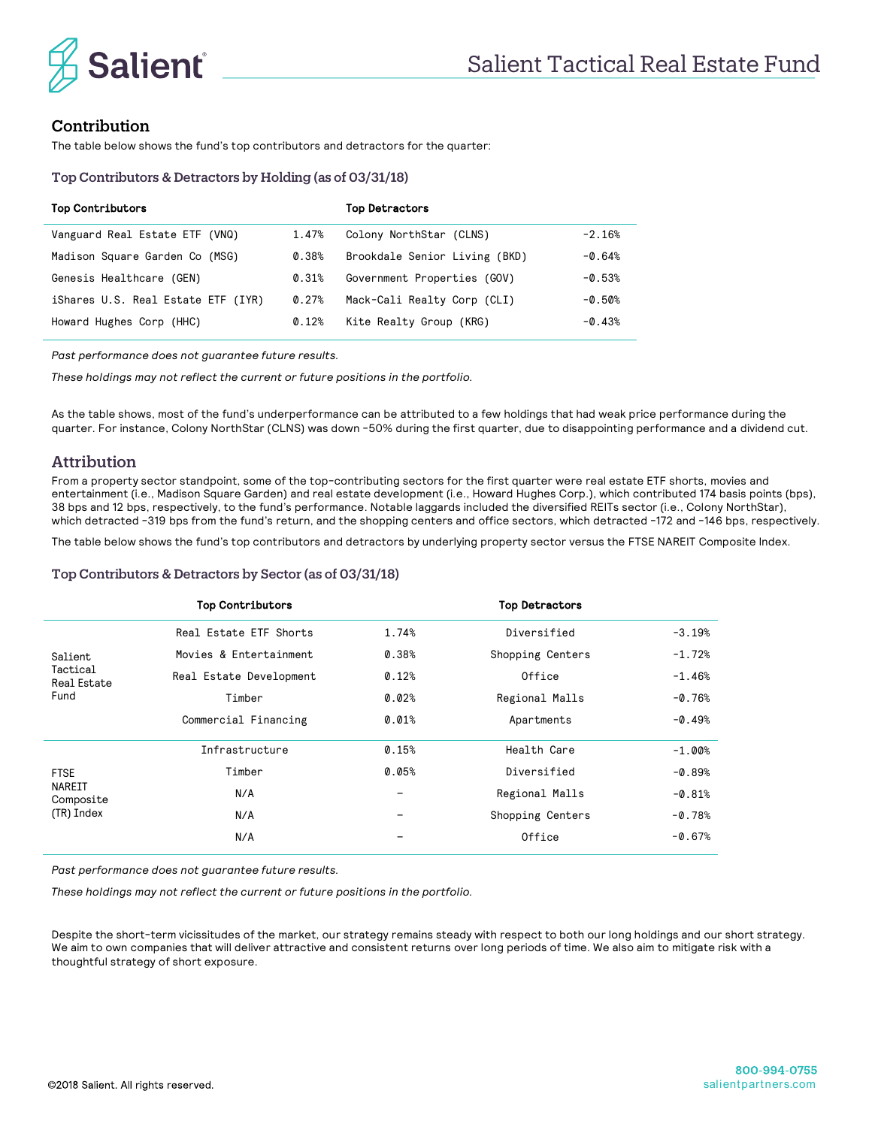

## Contribution

The table below shows the fund's top contributors and detractors for the quarter:

## Top Contributors & Detractors by Holding (as of 03/31/18)

| <b>Top Contributors</b>            |          | <b>Top Detractors</b>         |          |
|------------------------------------|----------|-------------------------------|----------|
| Vanguard Real Estate ETF (VNQ)     | 1.47%    | Colony NorthStar (CLNS)       | $-2.16%$ |
| Madison Square Garden Co (MSG)     | 0.38%    | Brookdale Senior Living (BKD) | $-0.64%$ |
| Genesis Healthcare (GEN)           | 0.31%    | Government Properties (GOV)   | $-0.53%$ |
| iShares U.S. Real Estate ETF (IYR) | $0.27\%$ | Mack-Cali Realty Corp (CLI)   | $-0.50%$ |
| Howard Hughes Corp (HHC)           | 0.12%    | Kite Realty Group (KRG)       | $-0.43%$ |

*Past performance does not guarantee future results.*

*These holdings may not reflect the current or future positions in the portfolio.*

As the table shows, most of the fund's underperformance can be attributed to a few holdings that had weak price performance during the quarter. For instance, Colony NorthStar (CLNS) was down -50% during the first quarter, due to disappointing performance and a dividend cut.

## Attribution

From a property sector standpoint, some of the top-contributing sectors for the first quarter were real estate ETF shorts, movies and entertainment (i.e., Madison Square Garden) and real estate development (i.e., Howard Hughes Corp.), which contributed 174 basis points (bps), 38 bps and 12 bps, respectively, to the fund's performance. Notable laggards included the diversified REITs sector (i.e., Colony NorthStar), which detracted -319 bps from the fund's return, and the shopping centers and office sectors, which detracted -172 and -146 bps, respectively.

The table below shows the fund's top contributors and detractors by underlying property sector versus the FTSE NAREIT Composite Index.

## Top Contributors & Detractors by Sector (as of 03/31/18)

|                                                  | <b>Top Contributors</b> |       | <b>Top Detractors</b> |          |
|--------------------------------------------------|-------------------------|-------|-----------------------|----------|
| Salient                                          | Real Estate ETF Shorts  | 1.74% | Diversified           | $-3.19%$ |
|                                                  | Movies & Entertainment  | 0.38% | Shopping Centers      | $-1.72%$ |
| Tactical<br><b>Real Estate</b>                   | Real Estate Development | 0.12% | Office                | $-1.46%$ |
| Fund                                             | Timber                  | 0.02% | Regional Malls        |          |
|                                                  | Commercial Financing    | 0.01% | Apartments            | $-0.49%$ |
| <b>FTSE</b><br>NAREIT<br>Composite<br>(TR) Index | Infrastructure          | 0.15% | Health Care           | $-1.00%$ |
|                                                  | Timber                  | 0.05% | Diversified           | $-0.89%$ |
|                                                  | N/A                     | -     | Regional Malls        | $-0.81%$ |
|                                                  | N/A                     |       | Shopping Centers      | $-0.78%$ |
|                                                  | N/A                     | -     | Office                | $-0.67%$ |

*Past performance does not guarantee future results.*

*These holdings may not reflect the current or future positions in the portfolio.*

Despite the short-term vicissitudes of the market, our strategy remains steady with respect to both our long holdings and our short strategy. We aim to own companies that will deliver attractive and consistent returns over long periods of time. We also aim to mitigate risk with a thoughtful strategy of short exposure.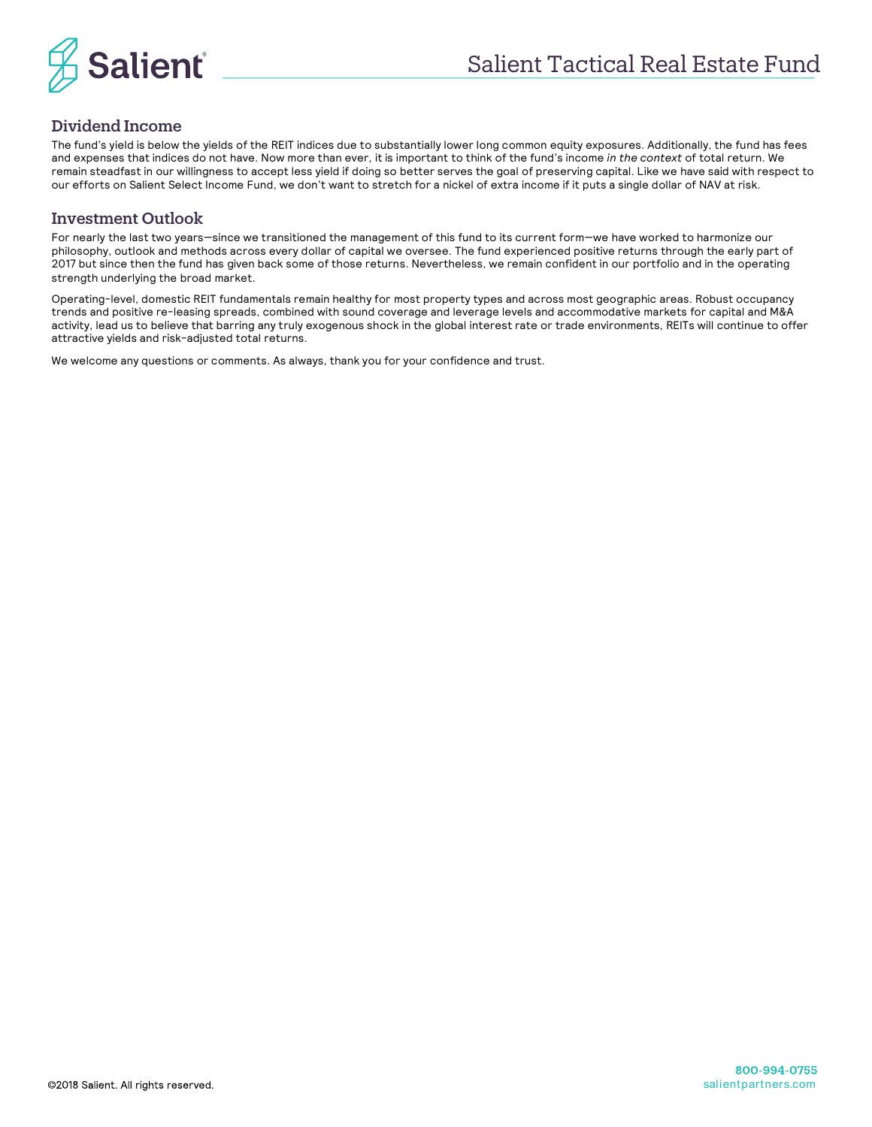

## Dividend Income

The fund's yield is below the yields of the REIT indices due to substantially lower long common equity exposures. Additionally, the fund has fees and expenses that indices do not have. Now more than ever, it is important to think of the fund's income *in the context* of total return. We remain steadfast in our willingness to accept less yield if doing so better serves the goal of preserving capital. Like we have said with respect to our efforts on Salient Select Income Fund, we don't want to stretch for a nickel of extra income if it puts a single dollar of NAV at risk.

## Investment Outlook

For nearly the last two years—since we transitioned the management of this fund to its current form—we have worked to harmonize our philosophy, outlook and methods across every dollar of capital we oversee. The fund experienced positive returns through the early part of 2017 but since then the fund has given back some of those returns. Nevertheless, we remain confident in our portfolio and in the operating strength underlying the broad market.

Operating-level, domestic REIT fundamentals remain healthy for most property types and across most geographic areas. Robust occupancy trends and positive re-leasing spreads, combined with sound coverage and leverage levels and accommodative markets for capital and M&A activity, lead us to believe that barring any truly exogenous shock in the global interest rate or trade environments, REITs will continue to offer attractive yields and risk-adjusted total returns.

We welcome any questions or comments. As always, thank you for your confidence and trust.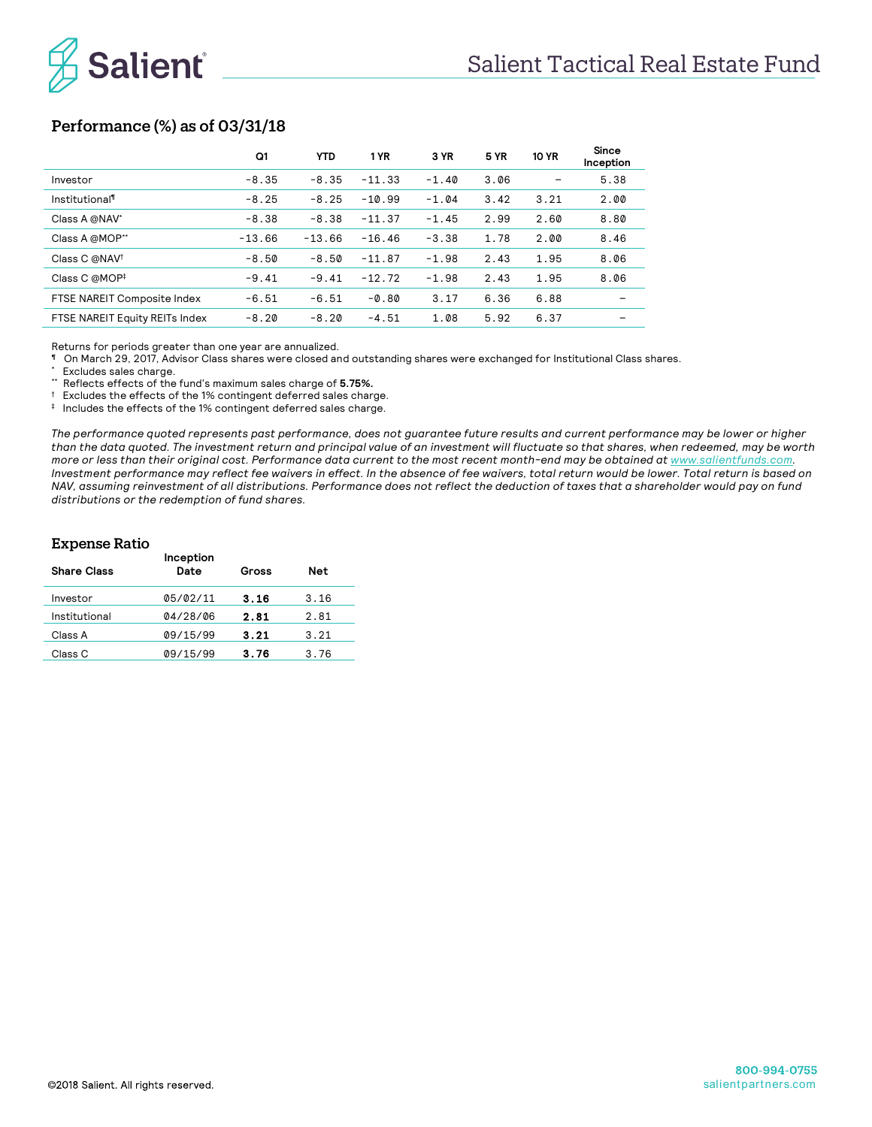

## Performance (%) as of 03/31/18

|                                | Q1       | <b>YTD</b> | 1 YR     | 3 YR    | <b>5 YR</b> | <b>10 YR</b> | Since<br>Inception |
|--------------------------------|----------|------------|----------|---------|-------------|--------------|--------------------|
| Investor                       | $-8.35$  | $-8.35$    | $-11.33$ | $-1.40$ | 3.06        |              | 5.38               |
| Institutional                  | $-8.25$  | $-8.25$    | $-10.99$ | $-1.04$ | 3.42        | 3.21         | 2.00               |
| Class A @NAV*                  | $-8.38$  | $-8.38$    | $-11.37$ | $-1.45$ | 2.99        | 2.60         | 8.80               |
| Class A @MOP**                 | $-13.66$ | $-13.66$   | $-16.46$ | $-3.38$ | 1.78        | 2.00         | 8.46               |
| Class C @NAV <sup>t</sup>      | $-8.50$  | $-8.50$    | $-11.87$ | $-1.98$ | 2.43        | 1.95         | 8.06               |
| Class C @MOP <sup>‡</sup>      | $-9.41$  | $-9.41$    | $-12.72$ | $-1.98$ | 2.43        | 1.95         | 8.06               |
| FTSE NAREIT Composite Index    | $-6.51$  | $-6.51$    | $-0.80$  | 3.17    | 6.36        | 6.88         |                    |
| FTSE NAREIT Equity REITs Index | $-8.20$  | $-8.20$    | $-4.51$  | 1.08    | 5.92        | 6.37         |                    |

Returns for periods greater than one year are annualized.

¶ On March 29, 2017, Advisor Class shares were closed and outstanding shares were exchanged for Institutional Class shares.

\* Excludes sales charge.

\*\* Reflects effects of the fund's maximum sales charge of **5.75%.**

† Excludes the effects of the 1% contingent deferred sales charge.

‡ Includes the effects of the 1% contingent deferred sales charge.

*The performance quoted represents past performance, does not guarantee future results and current performance may be lower or higher than the data quoted. The investment return and principal value of an investment will fluctuate so that shares, when redeemed, may be worth more or less than their original cost. Performance data current to the most recent month-end may be obtained at www.salientfunds.com. Investment performance may reflect fee waivers in effect. In the absence of fee waivers, total return would be lower. Total return is based on NAV, assuming reinvestment of all distributions. Performance does not reflect the deduction of taxes that a shareholder would pay on fund distributions or the redemption of fund shares.*

## Expense Ratio

| <b>Share Class</b> | Inception<br>Date | Gross | <b>Net</b> |  |
|--------------------|-------------------|-------|------------|--|
| Investor           | 05/02/11          | 3.16  | 3.16       |  |
| Institutional      | 04/28/06          | 2.81  | 2.81       |  |
| Class A            | 09/15/99          | 3.21  | 3.21       |  |
| Class C            | 09/15/99          | 3.76  | 3.76       |  |
|                    |                   |       |            |  |